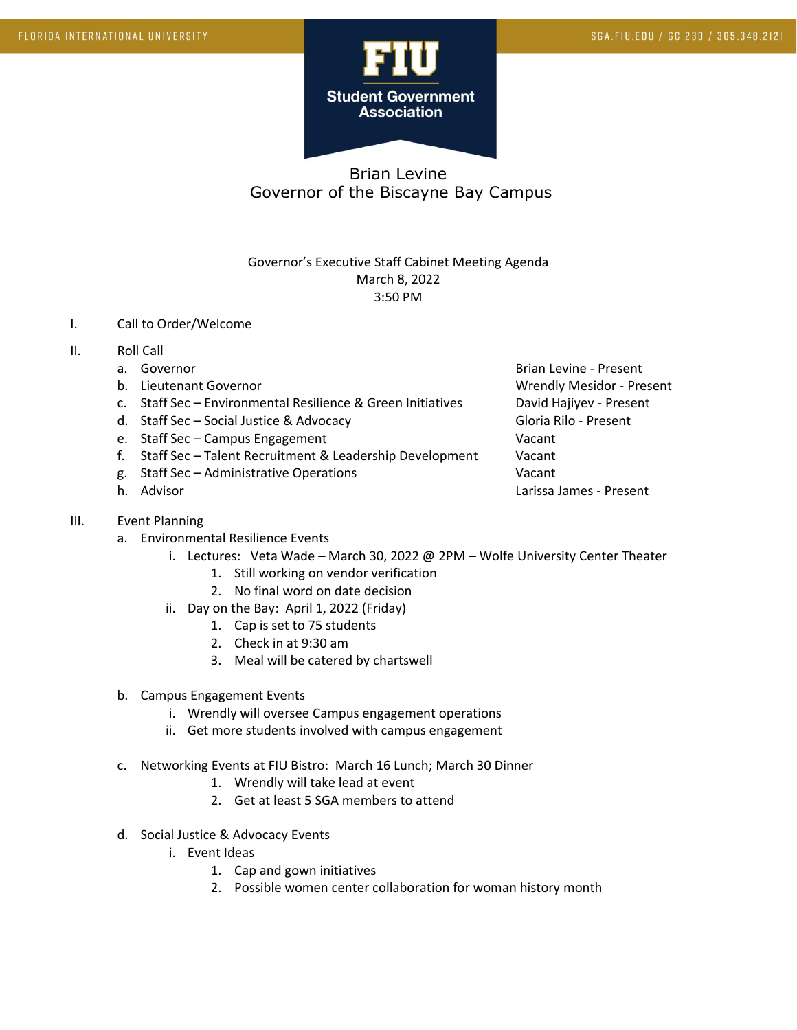

## Brian Levine Governor of the Biscayne Bay Campus

## Governor's Executive Staff Cabinet Meeting Agenda March 8, 2022 3:50 PM

- I. Call to Order/Welcome
- II. Roll Call
	-
	-
	- c. Staff Sec Environmental Resilience & Green Initiatives David Hajiyev Present
	- d. Staff Sec Social Justice & Advocacy Contract Contract Gloria Rilo Present
	- e. Staff Sec Campus Engagement Vacant
	- f. Staff Sec Talent Recruitment & Leadership Development Vacant
	- g. Staff Sec Administrative Operations Vacant
	-
- III. Event Planning
	- a. Environmental Resilience Events
		- i. Lectures: Veta Wade March 30, 2022 @ 2PM Wolfe University Center Theater
			- 1. Still working on vendor verification
			- 2. No final word on date decision
			- ii. Day on the Bay: April 1, 2022 (Friday)
				- 1. Cap is set to 75 students
				- 2. Check in at 9:30 am
				- 3. Meal will be catered by chartswell
	- b. Campus Engagement Events
		- i. Wrendly will oversee Campus engagement operations
		- ii. Get more students involved with campus engagement
	- c. Networking Events at FIU Bistro: March 16 Lunch; March 30 Dinner
		- 1. Wrendly will take lead at event
		- 2. Get at least 5 SGA members to attend
	- d. Social Justice & Advocacy Events
		- i. Event Ideas
			- 1. Cap and gown initiatives
			- 2. Possible women center collaboration for woman history month

a. Governor **Brian Levine - Present** Brian Levine - Present b. Lieutenant Governor Christianus and Wrendly Mesidor - Present h. Advisor Larissa James - Present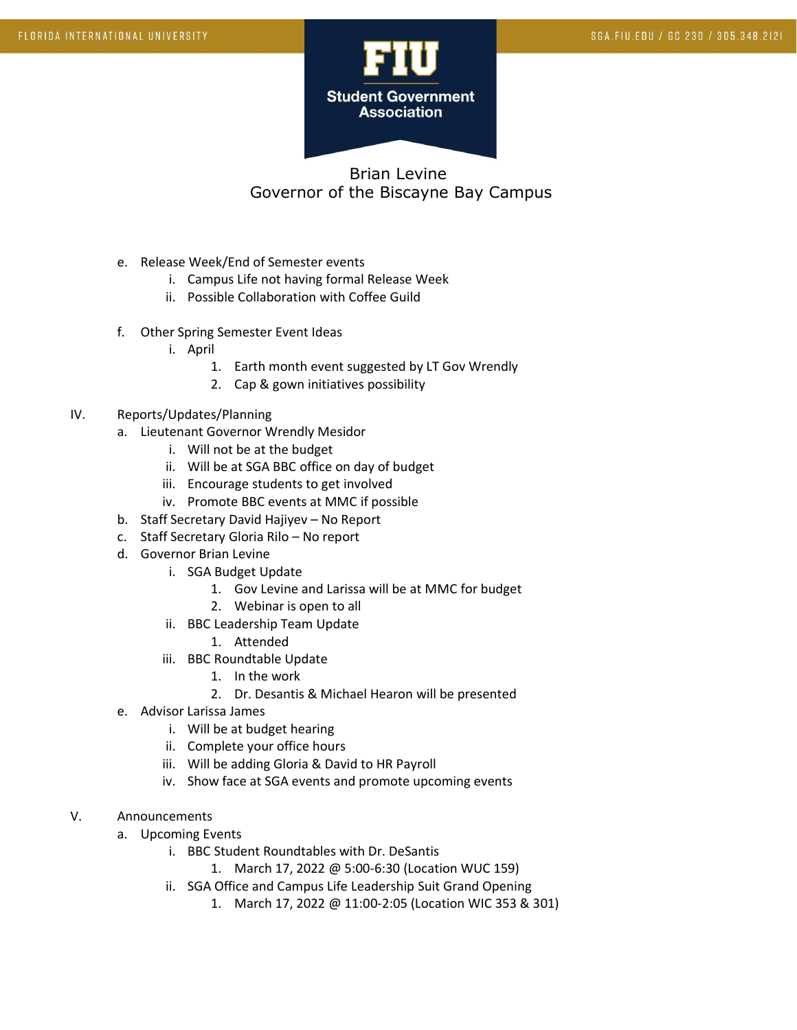

## Brian Levine Governor of the Biscayne Bay Campus

- e. Release Week/End of Semester events
	- i. Campus Life not having formal Release Week
	- ii. Possible Collaboration with Coffee Guild
- f. Other Spring Semester Event Ideas
	- i. April
		- 1. Earth month event suggested by LT Gov Wrendly
		- 2. Cap & gown initiatives possibility
- IV. Reports/Updates/Planning
	- a. Lieutenant Governor Wrendly Mesidor
		- i. Will not be at the budget
		- ii. Will be at SGA BBC office on day of budget
		- iii. Encourage students to get involved
		- iv. Promote BBC events at MMC if possible
	- b. Staff Secretary David Hajiyev No Report
	- c. Staff Secretary Gloria Rilo No report
	- d. Governor Brian Levine
		- i. SGA Budget Update
			- 1. Gov Levine and Larissa will be at MMC for budget
			- 2. Webinar is open to all
		- ii. BBC Leadership Team Update
			- 1. Attended
		- iii. BBC Roundtable Update
			- 1. In the work
			- 2. Dr. Desantis & Michael Hearon will be presented
	- e. Advisor Larissa James
		- i. Will be at budget hearing
		- ii. Complete your office hours
		- iii. Will be adding Gloria & David to HR Payroll
		- iv. Show face at SGA events and promote upcoming events
- V. Announcements
	- a. Upcoming Events
		- i. BBC Student Roundtables with Dr. DeSantis
			- 1. March 17, 2022 @ 5:00-6:30 (Location WUC 159)
		- ii. SGA Office and Campus Life Leadership Suit Grand Opening
			- 1. March 17, 2022 @ 11:00-2:05 (Location WIC 353 & 301)